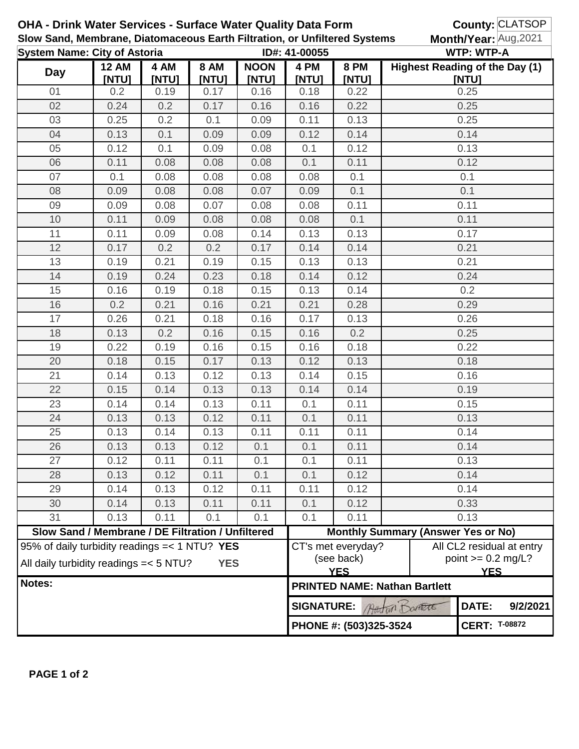|        | <b>OHA - Drink Water Services - Surface Water Quality Data Form</b><br>Slow Sand, Membrane, Diatomaceous Earth Filtration, or Unfiltered Systems |               |                      |                      |                   |                                                                                                                   |                                           | County: CLATSOP<br>Month/Year: Aug, 2021<br><b>WTP: WTP-A</b> |                      |  |
|--------|--------------------------------------------------------------------------------------------------------------------------------------------------|---------------|----------------------|----------------------|-------------------|-------------------------------------------------------------------------------------------------------------------|-------------------------------------------|---------------------------------------------------------------|----------------------|--|
|        | <b>System Name: City of Astoria</b>                                                                                                              |               |                      |                      | ID#: 41-00055     |                                                                                                                   |                                           |                                                               |                      |  |
| Day    | <b>12 AM</b><br>[NTU]                                                                                                                            | 4 AM<br>[NTU] | <b>8 AM</b><br>[NTU] | <b>NOON</b><br>[NTU] | 4 PM<br>[NTU]     | <b>8 PM</b><br>[NTU]                                                                                              |                                           | <b>Highest Reading of the Day (1)</b><br>[NTU]                |                      |  |
| 01     | 0.2                                                                                                                                              | 0.19          | 0.17                 | 0.16                 | 0.18              | 0.22                                                                                                              |                                           | 0.25                                                          |                      |  |
| 02     | 0.24                                                                                                                                             | 0.2           | 0.17                 | 0.16                 | 0.16              | 0.22                                                                                                              |                                           | 0.25                                                          |                      |  |
| 03     | 0.25                                                                                                                                             | 0.2           | 0.1                  | 0.09                 | 0.11              | 0.13                                                                                                              |                                           | 0.25                                                          |                      |  |
| 04     | 0.13                                                                                                                                             | 0.1           | 0.09                 | 0.09                 | 0.12              | 0.14                                                                                                              |                                           | 0.14                                                          |                      |  |
| 05     | 0.12                                                                                                                                             | 0.1           | 0.09                 | 0.08                 | 0.1               | 0.12                                                                                                              |                                           | 0.13                                                          |                      |  |
| 06     | 0.11                                                                                                                                             | 0.08          | 0.08                 | 0.08                 | 0.1               | 0.11                                                                                                              |                                           | 0.12                                                          |                      |  |
| 07     | 0.1                                                                                                                                              | 0.08          | 0.08                 | 0.08                 | 0.08              | 0.1                                                                                                               |                                           | 0.1                                                           |                      |  |
| 08     | 0.09                                                                                                                                             | 0.08          | 0.08                 | 0.07                 | 0.09              | 0.1                                                                                                               |                                           | 0.1                                                           |                      |  |
| 09     | 0.09                                                                                                                                             | 0.08          | 0.07                 | 0.08                 | 0.08              | 0.11                                                                                                              |                                           | 0.11                                                          |                      |  |
| 10     | 0.11                                                                                                                                             | 0.09          | 0.08                 | 0.08                 | 0.08              | 0.1                                                                                                               |                                           | 0.11                                                          |                      |  |
| 11     | 0.11                                                                                                                                             | 0.09          | 0.08                 | 0.14                 | 0.13              | 0.13                                                                                                              |                                           | 0.17                                                          |                      |  |
| 12     | 0.17                                                                                                                                             | 0.2           | 0.2                  | 0.17                 | 0.14              | 0.14                                                                                                              |                                           | 0.21                                                          |                      |  |
| 13     | 0.19                                                                                                                                             | 0.21          | 0.19                 | 0.15                 | 0.13              | 0.13                                                                                                              |                                           | 0.21                                                          |                      |  |
| 14     | 0.19                                                                                                                                             | 0.24          | 0.23                 | 0.18                 | 0.14              | 0.12                                                                                                              |                                           | 0.24                                                          |                      |  |
| 15     | 0.16                                                                                                                                             | 0.19          | 0.18                 | 0.15                 | 0.13              | 0.14                                                                                                              |                                           | 0.2                                                           |                      |  |
| 16     | 0.2                                                                                                                                              | 0.21          | 0.16                 | 0.21                 | 0.21              | 0.28                                                                                                              |                                           | 0.29                                                          |                      |  |
| 17     | 0.26                                                                                                                                             | 0.21          | 0.18                 | 0.16                 | 0.17              | 0.13                                                                                                              |                                           | 0.26                                                          |                      |  |
| 18     | 0.13                                                                                                                                             | 0.2           | 0.16                 | 0.15                 | 0.16              | 0.2                                                                                                               |                                           | 0.25                                                          |                      |  |
| 19     | 0.22                                                                                                                                             | 0.19          | 0.16                 | 0.15                 | 0.16              | 0.18                                                                                                              |                                           | 0.22                                                          |                      |  |
| 20     | 0.18                                                                                                                                             | 0.15          | 0.17                 | 0.13                 | 0.12              | 0.13                                                                                                              |                                           | 0.18                                                          |                      |  |
| 21     | 0.14                                                                                                                                             | 0.13          | 0.12                 | 0.13                 | 0.14              | 0.15                                                                                                              |                                           | 0.16                                                          |                      |  |
| 22     | 0.15                                                                                                                                             | 0.14          | 0.13                 | 0.13                 | 0.14              | 0.14                                                                                                              |                                           | 0.19                                                          |                      |  |
| 23     | 0.14                                                                                                                                             | 0.14          | 0.13                 | 0.11                 | 0.1               | 0.11                                                                                                              | 0.15                                      |                                                               |                      |  |
| 24     | 0.13                                                                                                                                             | 0.13          | 0.12                 | 0.11                 | 0.1               | 0.11                                                                                                              | 0.13                                      |                                                               |                      |  |
| 25     | 0.13                                                                                                                                             | 0.14          | 0.13                 | 0.11                 | 0.11              | 0.11                                                                                                              | 0.14                                      |                                                               |                      |  |
| 26     | 0.13                                                                                                                                             | 0.13          | 0.12                 | 0.1                  | 0.1               | 0.11                                                                                                              |                                           | 0.14                                                          |                      |  |
| 27     | 0.12                                                                                                                                             | 0.11          | 0.11                 | 0.1                  | 0.1               | 0.11                                                                                                              |                                           | 0.13                                                          |                      |  |
| 28     | 0.13                                                                                                                                             | 0.12          | 0.11                 | 0.1                  | 0.1               | 0.12                                                                                                              |                                           | 0.14                                                          |                      |  |
| 29     | 0.14                                                                                                                                             | 0.13          | 0.12                 | 0.11                 | 0.11              | 0.12                                                                                                              |                                           | 0.14                                                          |                      |  |
| 30     | 0.14                                                                                                                                             | 0.13          | 0.11                 | 0.11                 | 0.1               | 0.12                                                                                                              |                                           | 0.33                                                          |                      |  |
| 31     | 0.13                                                                                                                                             | 0.11          | 0.1                  | 0.1                  | 0.1               | 0.11                                                                                                              |                                           | 0.13                                                          |                      |  |
|        | Slow Sand / Membrane / DE Filtration / Unfiltered                                                                                                |               |                      |                      |                   |                                                                                                                   | <b>Monthly Summary (Answer Yes or No)</b> |                                                               |                      |  |
|        | 95% of daily turbidity readings $=< 1 N T U$ ? YES<br>All daily turbidity readings = < 5 NTU?<br><b>YES</b>                                      |               |                      |                      |                   | All CL2 residual at entry<br>CT's met everyday?<br>(see back)<br>point $>= 0.2$ mg/L?<br><b>YES</b><br><b>YES</b> |                                           |                                                               |                      |  |
| Notes: |                                                                                                                                                  |               |                      |                      |                   |                                                                                                                   | <b>PRINTED NAME: Nathan Bartlett</b>      |                                                               |                      |  |
|        |                                                                                                                                                  |               |                      |                      | <b>SIGNATURE:</b> |                                                                                                                   | Attin Danett                              | DATE:                                                         | 9/2/2021             |  |
|        |                                                                                                                                                  |               |                      |                      |                   | PHONE #: (503)325-3524                                                                                            |                                           |                                                               | <b>CERT: T-08872</b> |  |